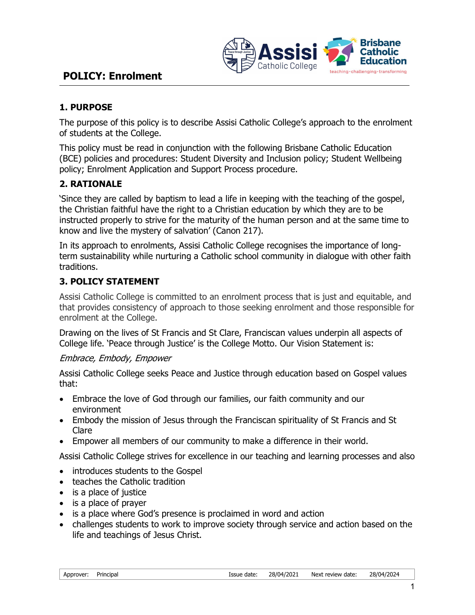

# POLICY: Enrolment

### 1. PURPOSE

The purpose of this policy is to describe Assisi Catholic College's approach to the enrolment of students at the College.

This policy must be read in conjunction with the following Brisbane Catholic Education (BCE) policies and procedures: Student Diversity and Inclusion policy; Student Wellbeing policy; Enrolment Application and Support Process procedure.

### 2. RATIONALE

'Since they are called by baptism to lead a life in keeping with the teaching of the gospel, the Christian faithful have the right to a Christian education by which they are to be instructed properly to strive for the maturity of the human person and at the same time to know and live the mystery of salvation' (Canon 217).

In its approach to enrolments, Assisi Catholic College recognises the importance of longterm sustainability while nurturing a Catholic school community in dialogue with other faith traditions.

# 3. POLICY STATEMENT

Assisi Catholic College is committed to an enrolment process that is just and equitable, and that provides consistency of approach to those seeking enrolment and those responsible for enrolment at the College.

Drawing on the lives of St Francis and St Clare, Franciscan values underpin all aspects of College life. 'Peace through Justice' is the College Motto. Our Vision Statement is:

#### Embrace, Embody, Empower

Assisi Catholic College seeks Peace and Justice through education based on Gospel values that:

- Embrace the love of God through our families, our faith community and our environment
- Embody the mission of Jesus through the Franciscan spirituality of St Francis and St Clare
- Empower all members of our community to make a difference in their world.

Assisi Catholic College strives for excellence in our teaching and learning processes and also

- introduces students to the Gospel
- teaches the Catholic tradition
- is a place of justice
- is a place of prayer
- is a place where God's presence is proclaimed in word and action
- challenges students to work to improve society through service and action based on the life and teachings of Jesus Christ.